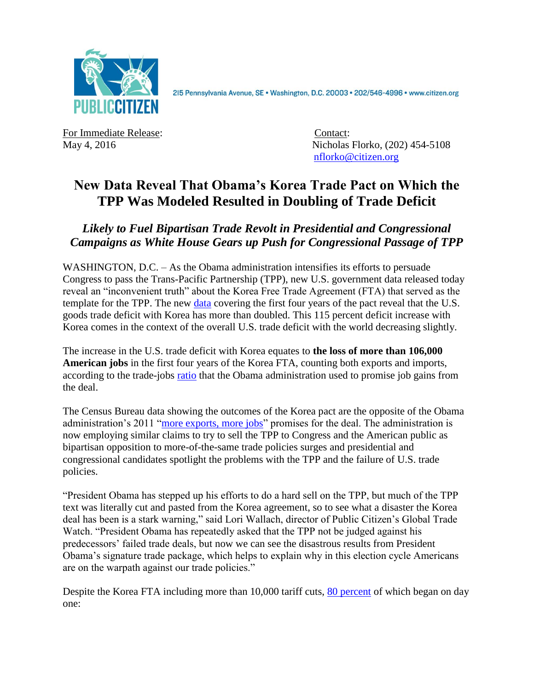

2I5 Pennsylvania Avenue, SE · Washington, D.C. 20003 · 202/546-4996 · www.citizen.org

For Immediate Release: Contact:

May 4, 2016 **Nicholas Florko**, (202) 454-5108 [nflorko@citizen.org](mailto:nflorko@citizen.org)

## **New Data Reveal That Obama's Korea Trade Pact on Which the TPP Was Modeled Resulted in Doubling of Trade Deficit**

*Likely to Fuel Bipartisan Trade Revolt in Presidential and Congressional Campaigns as White House Gears up Push for Congressional Passage of TPP*

WASHINGTON, D.C. – As the Obama administration intensifies its efforts to persuade Congress to pass the Trans-Pacific Partnership (TPP), new U.S. government data released today reveal an "inconvenient truth" about the Korea Free Trade Agreement (FTA) that served as the template for the TPP. The new [data](http://www.census.gov/foreign-trade/data/index.html) covering the first four years of the pact reveal that the U.S. goods trade deficit with Korea has more than doubled. This 115 percent deficit increase with Korea comes in the context of the overall U.S. trade deficit with the world decreasing slightly.

The increase in the U.S. trade deficit with Korea equates to **the loss of more than 106,000 American jobs** in the first four years of the Korea FTA, counting both exports and imports, according to the trade-jobs [ratio](http://trade.gov/publications/pdfs/exports-support-american-jobs.pdf) that the Obama administration used to promise job gains from the deal.

The Census Bureau data showing the outcomes of the Korea pact are the opposite of the Obama administration's 2011 ["more exports, more jobs"](https://ustr.gov/uskoreaFTA) promises for the deal. The administration is now employing similar claims to try to sell the TPP to Congress and the American public as bipartisan opposition to more-of-the-same trade policies surges and presidential and congressional candidates spotlight the problems with the TPP and the failure of U.S. trade policies.

"President Obama has stepped up his efforts to do a hard sell on the TPP, but much of the TPP text was literally cut and pasted from the Korea agreement, so to see what a disaster the Korea deal has been is a stark warning," said Lori Wallach, director of Public Citizen's Global Trade Watch. "President Obama has repeatedly asked that the TPP not be judged against his predecessors' failed trade deals, but now we can see the disastrous results from President Obama's signature trade package, which helps to explain why in this election cycle Americans are on the warpath against our trade policies."

Despite the Korea FTA including more than 10,000 tariff cuts, [80 percent](http://waysandmeans.house.gov/UploadedFiles/KORUS_Fact_Sheet_July_2011.pdf) of which began on day one: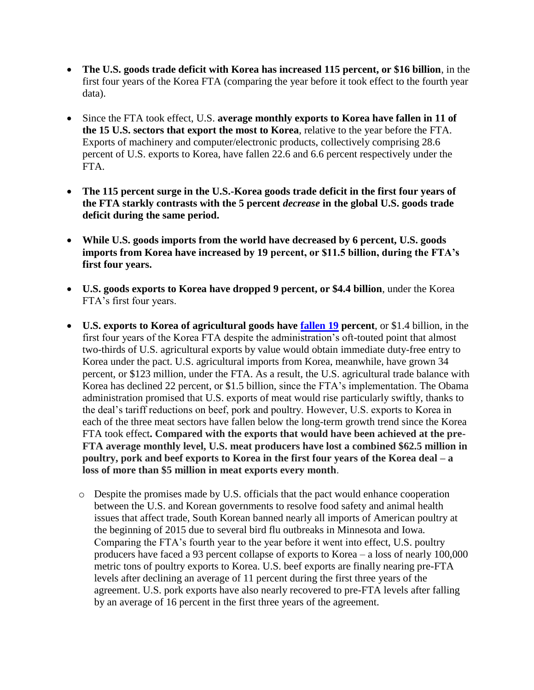- **The U.S. goods trade deficit with Korea has increased 115 percent, or \$16 billion**, in the first four years of the Korea FTA (comparing the year before it took effect to the fourth year data).
- Since the FTA took effect, U.S. **average monthly exports to Korea have fallen in 11 of the 15 U.S. sectors that export the most to Korea**, relative to the year before the FTA. Exports of machinery and computer/electronic products, collectively comprising 28.6 percent of U.S. exports to Korea, have fallen 22.6 and 6.6 percent respectively under the FTA.
- **The 115 percent surge in the U.S.-Korea goods trade deficit in the first four years of the FTA starkly contrasts with the 5 percent** *decrease* **in the global U.S. goods trade deficit during the same period.**
- **While U.S. goods imports from the world have decreased by 6 percent, U.S. goods imports from Korea have increased by 19 percent, or \$11.5 billion, during the FTA's first four years.**
- **U.S. goods exports to Korea have dropped 9 percent, or \$4.4 billion**, under the Korea FTA's first four years.
- **U.S. exports to Korea of agricultural goods have [fallen](http://apps.fas.usda.gov/gats/default.aspx) 19 percent**, or \$1.4 billion, in the first four years of the Korea FTA despite the administration's oft-touted point that almost two-thirds of U.S. agricultural exports by value would obtain immediate duty-free entry to Korea under the pact. U.S. agricultural imports from Korea, meanwhile, have grown 34 percent, or \$123 million, under the FTA. As a result, the U.S. agricultural trade balance with Korea has declined 22 percent, or \$1.5 billion, since the FTA's implementation. The Obama administration promised that U.S. exports of meat would rise particularly swiftly, thanks to the deal's tariff reductions on beef, pork and poultry. However, U.S. exports to Korea in each of the three meat sectors have fallen below the long-term growth trend since the Korea FTA took effect**. Compared with the exports that would have been achieved at the pre-FTA average monthly level, U.S. meat producers have lost a combined \$62.5 million in poultry, pork and beef exports to Korea in the first four years of the Korea deal – a loss of more than \$5 million in meat exports every month**.
	- o Despite the promises made by U.S. officials that the pact would enhance cooperation between the U.S. and Korean governments to resolve food safety and animal health issues that affect trade, South Korean banned nearly all imports of American poultry at the beginning of 2015 due to several bird flu outbreaks in Minnesota and Iowa. Comparing the FTA's fourth year to the year before it went into effect, U.S. poultry producers have faced a 93 percent collapse of exports to Korea – a loss of nearly 100,000 metric tons of poultry exports to Korea. U.S. beef exports are finally nearing pre-FTA levels after declining an average of 11 percent during the first three years of the agreement. U.S. pork exports have also nearly recovered to pre-FTA levels after falling by an average of 16 percent in the first three years of the agreement.